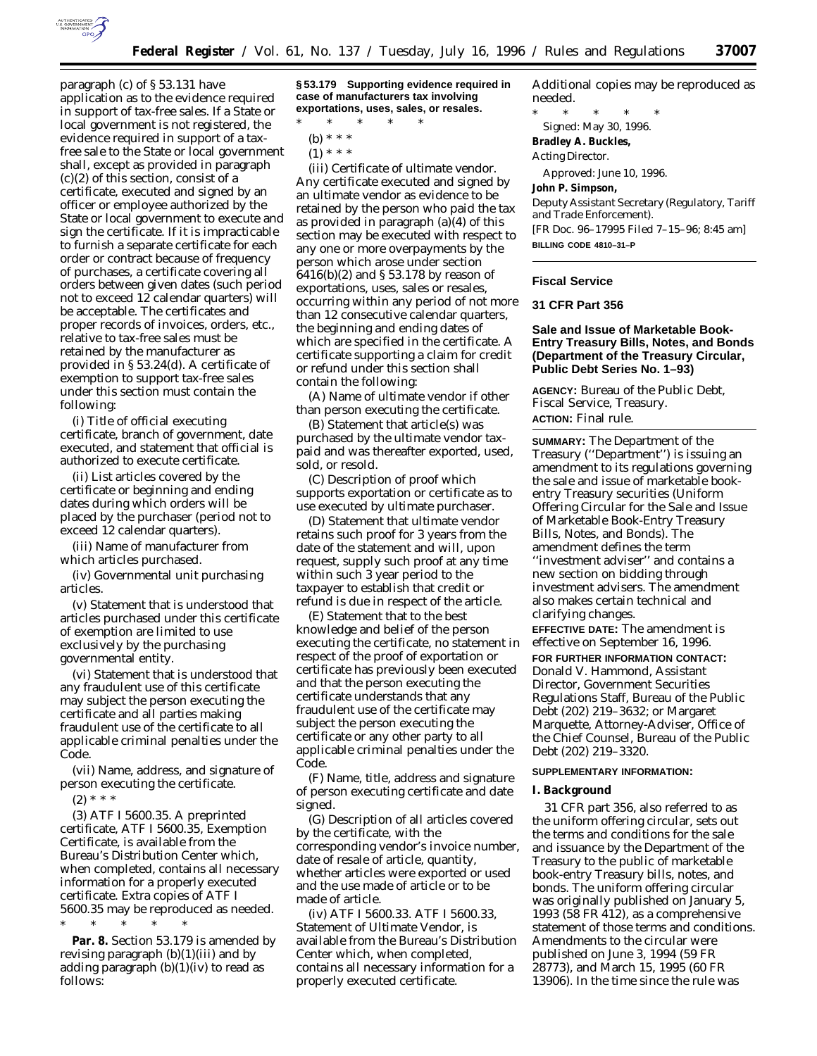

paragraph (c) of § 53.131 have application as to the evidence required in support of tax-free sales. If a State or local government is not registered, the evidence required in support of a taxfree sale to the State or local government shall, except as provided in paragraph (c)(2) of this section, consist of a certificate, executed and signed by an officer or employee authorized by the State or local government to execute and sign the certificate. If it is impracticable to furnish a separate certificate for each order or contract because of frequency of purchases, a certificate covering all orders between given dates (such period not to exceed 12 calendar quarters) will be acceptable. The certificates and proper records of invoices, orders, etc., relative to tax-free sales must be retained by the manufacturer as provided in § 53.24(d). A certificate of exemption to support tax-free sales under this section must contain the following:

(i) Title of official executing certificate, branch of government, date executed, and statement that official is authorized to execute certificate.

(ii) List articles covered by the certificate or beginning and ending dates during which orders will be placed by the purchaser (period not to exceed 12 calendar quarters).

(iii) Name of manufacturer from which articles purchased.

(iv) Governmental unit purchasing articles.

(v) Statement that is understood that articles purchased under this certificate of exemption are limited to use exclusively by the purchasing governmental entity.

(vi) Statement that is understood that any fraudulent use of this certificate may subject the person executing the certificate and all parties making fraudulent use of the certificate to all applicable criminal penalties under the Code.

(vii) Name, address, and signature of person executing the certificate.

 $(2) * * * *$ 

(3) *ATF I 5600.35.* A preprinted certificate, ATF I 5600.35, Exemption Certificate, is available from the Bureau's Distribution Center which, when completed, contains all necessary information for a properly executed certificate. Extra copies of ATF I 5600.35 may be reproduced as needed. \* \* \* \* \*

**Par. 8.** Section 53.179 is amended by revising paragraph (b)(1)(iii) and by adding paragraph  $(b)(1)(iv)$  to read as follows:

**§ 53.179 Supporting evidence required in case of manufacturers tax involving exportations, uses, sales, or resales.**

\* \* \* \* \*

- (b) \* \* \*
- $(1) * * * *$

(iii) *Certificate of ultimate vendor.* Any certificate executed and signed by an ultimate vendor as evidence to be retained by the person who paid the tax as provided in paragraph (a)(4) of this section may be executed with respect to any one or more overpayments by the person which arose under section 6416(b)(2) and § 53.178 by reason of exportations, uses, sales or resales, occurring within any period of not more than 12 consecutive calendar quarters, the beginning and ending dates of which are specified in the certificate. A certificate supporting a claim for credit or refund under this section shall contain the following:

(A) Name of ultimate vendor if other than person executing the certificate.

(B) Statement that article(s) was purchased by the ultimate vendor taxpaid and was thereafter exported, used, sold, or resold.

(C) Description of proof which supports exportation or certificate as to use executed by ultimate purchaser.

(D) Statement that ultimate vendor retains such proof for 3 years from the date of the statement and will, upon request, supply such proof at any time within such 3 year period to the taxpayer to establish that credit or refund is due in respect of the article.

(E) Statement that to the best knowledge and belief of the person executing the certificate, no statement in respect of the proof of exportation or certificate has previously been executed and that the person executing the certificate understands that any fraudulent use of the certificate may subject the person executing the certificate or any other party to all applicable criminal penalties under the Code.

(F) Name, title, address and signature of person executing certificate and date signed.

(G) Description of all articles covered by the certificate, with the corresponding vendor's invoice number, date of resale of article, quantity, whether articles were exported or used and the use made of article or to be made of article.

(iv) *ATF I 5600.33.* ATF I 5600.33, Statement of Ultimate Vendor, is available from the Bureau's Distribution Center which, when completed, contains all necessary information for a properly executed certificate.

Additional copies may be reproduced as needed.

\* \* \* \* \* Signed: May 30, 1996. **Bradley A. Buckles,** *Acting Director.*

Approved: June 10, 1996.

**John P. Simpson,**

*Deputy Assistant Secretary (Regulatory, Tariff and Trade Enforcement).* [FR Doc. 96–17995 Filed 7–15–96; 8:45 am] **BILLING CODE 4810–31–P**

#### **Fiscal Service**

# **31 CFR Part 356**

**Sale and Issue of Marketable Book-Entry Treasury Bills, Notes, and Bonds (Department of the Treasury Circular, Public Debt Series No. 1–93)**

**AGENCY:** Bureau of the Public Debt, Fiscal Service, Treasury. **ACTION:** Final rule.

**SUMMARY:** The Department of the Treasury (''Department'') is issuing an amendment to its regulations governing the sale and issue of marketable bookentry Treasury securities (Uniform Offering Circular for the Sale and Issue of Marketable Book-Entry Treasury Bills, Notes, and Bonds). The amendment defines the term ''investment adviser'' and contains a new section on bidding through investment advisers. The amendment also makes certain technical and clarifying changes.

**EFFECTIVE DATE:** The amendment is effective on September 16, 1996. **FOR FURTHER INFORMATION CONTACT:** Donald V. Hammond, Assistant Director, Government Securities Regulations Staff, Bureau of the Public Debt (202) 219–3632; or Margaret Marquette, Attorney-Adviser, Office of the Chief Counsel, Bureau of the Public Debt (202) 219–3320.

## **SUPPLEMENTARY INFORMATION:**

#### **I. Background**

31 CFR part 356, also referred to as the uniform offering circular, sets out the terms and conditions for the sale and issuance by the Department of the Treasury to the public of marketable book-entry Treasury bills, notes, and bonds. The uniform offering circular was originally published on January 5, 1993 (58 FR 412), as a comprehensive statement of those terms and conditions. Amendments to the circular were published on June 3, 1994 (59 FR 28773), and March 15, 1995 (60 FR 13906). In the time since the rule was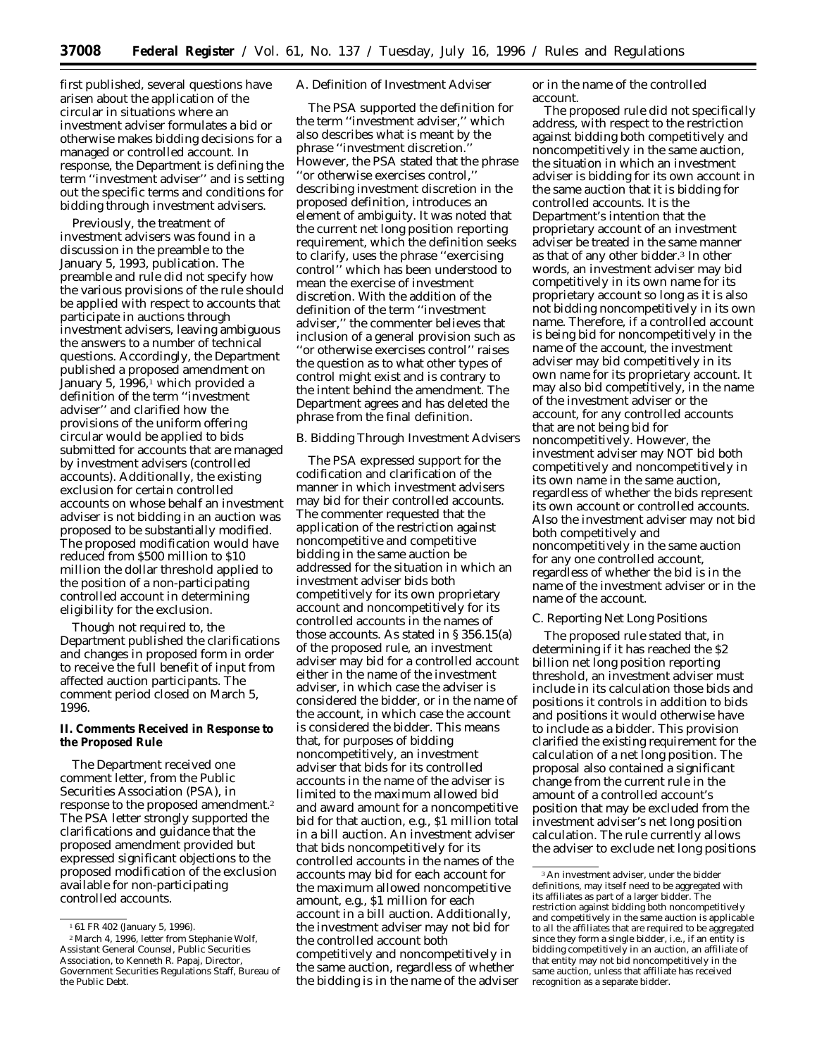first published, several questions have arisen about the application of the circular in situations where an investment adviser formulates a bid or otherwise makes bidding decisions for a managed or controlled account. In response, the Department is defining the term ''investment adviser'' and is setting out the specific terms and conditions for bidding through investment advisers.

Previously, the treatment of investment advisers was found in a discussion in the preamble to the January 5, 1993, publication. The preamble and rule did not specify how the various provisions of the rule should be applied with respect to accounts that participate in auctions through investment advisers, leaving ambiguous the answers to a number of technical questions. Accordingly, the Department published a proposed amendment on January 5, 1996,<sup>1</sup> which provided a definition of the term ''investment adviser'' and clarified how the provisions of the uniform offering circular would be applied to bids submitted for accounts that are managed by investment advisers (controlled accounts). Additionally, the existing exclusion for certain controlled accounts on whose behalf an investment adviser is not bidding in an auction was proposed to be substantially modified. The proposed modification would have reduced from \$500 million to \$10 million the dollar threshold applied to the position of a non-participating controlled account in determining eligibility for the exclusion.

Though not required to, the Department published the clarifications and changes in proposed form in order to receive the full benefit of input from affected auction participants. The comment period closed on March 5, 1996.

**II. Comments Received in Response to the Proposed Rule**

The Department received one comment letter, from the Public Securities Association (PSA), in response to the proposed amendment.2 The PSA letter strongly supported the clarifications and guidance that the proposed amendment provided but expressed significant objections to the proposed modification of the exclusion available for non-participating controlled accounts.

# *A. Definition of Investment Adviser*

The PSA supported the definition for the term ''investment adviser,'' which also describes what is meant by the phrase ''investment discretion.'' However, the PSA stated that the phrase ''or otherwise exercises control,'' describing investment discretion in the proposed definition, introduces an element of ambiguity. It was noted that the current net long position reporting requirement, which the definition seeks to clarify, uses the phrase ''exercising control'' which has been understood to mean the exercise of investment discretion. With the addition of the definition of the term ''investment adviser,'' the commenter believes that inclusion of a general provision such as ''or otherwise exercises control'' raises the question as to what other types of control might exist and is contrary to the intent behind the amendment. The Department agrees and has deleted the phrase from the final definition.

## *B. Bidding Through Investment Advisers*

The PSA expressed support for the codification and clarification of the manner in which investment advisers may bid for their controlled accounts. The commenter requested that the application of the restriction against noncompetitive and competitive bidding in the same auction be addressed for the situation in which an investment adviser bids both competitively for its own proprietary account and noncompetitively for its controlled accounts in the names of those accounts. As stated in § 356.15(a) of the proposed rule, an investment adviser may bid for a controlled account either in the name of the investment adviser, in which case the adviser is considered the bidder, or in the name of the account, in which case the account is considered the bidder. This means that, for purposes of bidding noncompetitively, an investment adviser that bids for its controlled accounts in the name of the adviser is limited to the maximum allowed bid and award amount for a noncompetitive bid for that auction, e.g., \$1 million total in a bill auction. An investment adviser that bids noncompetitively for its controlled accounts in the names of the accounts may bid for each account for the maximum allowed noncompetitive amount, e.g., \$1 million for each account in a bill auction. Additionally, the investment adviser may not bid for the controlled account both competitively and noncompetitively in the same auction, regardless of whether the bidding is in the name of the adviser

or in the name of the controlled account.

The proposed rule did not specifically address, with respect to the restriction against bidding both competitively and noncompetitively in the same auction, the situation in which an investment adviser is bidding for its own account in the same auction that it is bidding for controlled accounts. It is the Department's intention that the proprietary account of an investment adviser be treated in the same manner as that of any other bidder.3 In other words, an investment adviser may bid competitively in its own name for its proprietary account so long as it is also not bidding noncompetitively in its own name. Therefore, if a controlled account is being bid for noncompetitively in the name of the account, the investment adviser may bid competitively in its own name for its proprietary account. It may also bid competitively, in the name of the investment adviser or the account, for any controlled accounts that are not being bid for noncompetitively. However, the investment adviser may NOT bid both competitively and noncompetitively in its own name in the same auction, regardless of whether the bids represent its own account or controlled accounts. Also the investment adviser may not bid both competitively and noncompetitively in the same auction for any one controlled account, regardless of whether the bid is in the name of the investment adviser or in the name of the account.

# *C. Reporting Net Long Positions*

The proposed rule stated that, in determining if it has reached the \$2 billion net long position reporting threshold, an investment adviser must include in its calculation those bids and positions it controls in addition to bids and positions it would otherwise have to include as a bidder. This provision clarified the existing requirement for the calculation of a net long position. The proposal also contained a significant change from the current rule in the amount of a controlled account's position that may be excluded from the investment adviser's net long position calculation. The rule currently allows the adviser to exclude net long positions

<sup>1</sup> 61 FR 402 (January 5, 1996).

<sup>2</sup>March 4, 1996, letter from Stephanie Wolf, Assistant General Counsel, Public Securities Association, to Kenneth R. Papaj, Director, Government Securities Regulations Staff, Bureau of the Public Debt.

<sup>3</sup>An investment adviser, under the bidder definitions, may itself need to be aggregated with its affiliates as part of a larger bidder. The restriction against bidding both noncompetitively and competitively in the same auction is applicable to all the affiliates that are required to be aggregated since they form a single bidder, i.e., if an entity is bidding competitively in an auction, an affiliate of that entity may not bid noncompetitively in the same auction, unless that affiliate has received recognition as a separate bidder.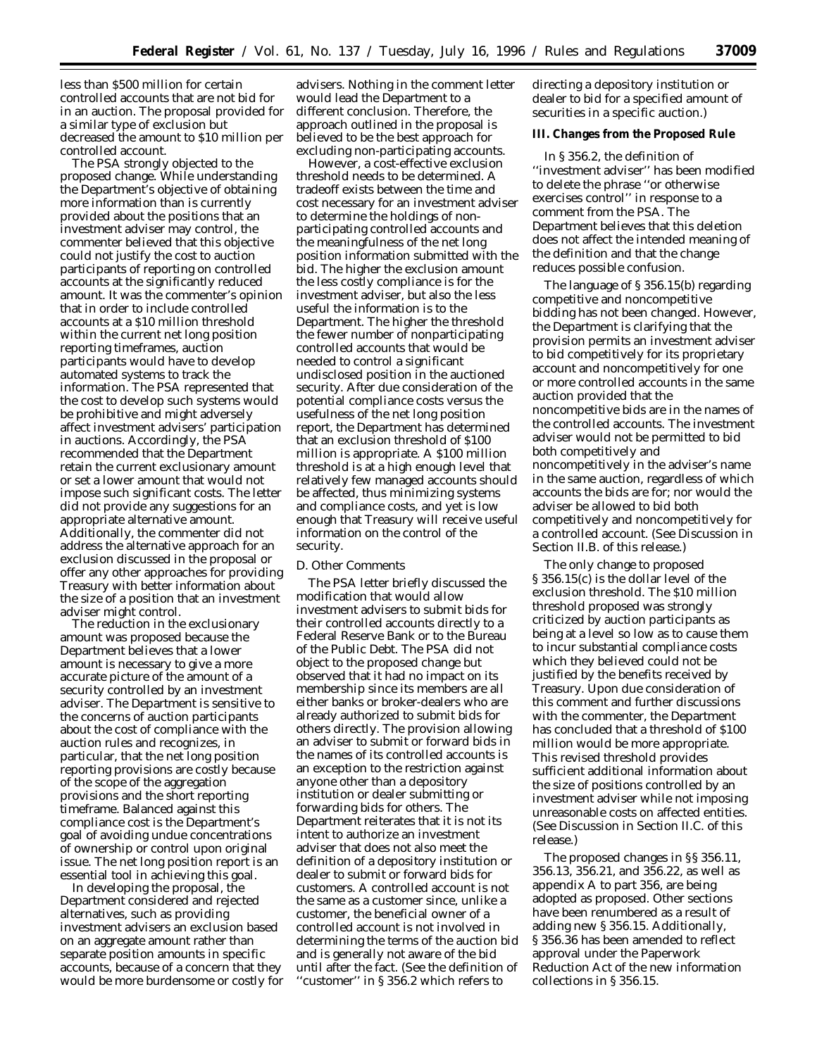less than \$500 million for certain controlled accounts that are not bid for in an auction. The proposal provided for a similar type of exclusion but decreased the amount to \$10 million per controlled account.

The PSA strongly objected to the proposed change. While understanding the Department's objective of obtaining more information than is currently provided about the positions that an investment adviser may control, the commenter believed that this objective could not justify the cost to auction participants of reporting on controlled accounts at the significantly reduced amount. It was the commenter's opinion that in order to include controlled accounts at a \$10 million threshold within the current net long position reporting timeframes, auction participants would have to develop automated systems to track the information. The PSA represented that the cost to develop such systems would be prohibitive and might adversely affect investment advisers' participation in auctions. Accordingly, the PSA recommended that the Department retain the current exclusionary amount or set a lower amount that would not impose such significant costs. The letter did not provide any suggestions for an appropriate alternative amount. Additionally, the commenter did not address the alternative approach for an exclusion discussed in the proposal or offer any other approaches for providing Treasury with better information about the size of a position that an investment adviser might control.

The reduction in the exclusionary amount was proposed because the Department believes that a lower amount is necessary to give a more accurate picture of the amount of a security controlled by an investment adviser. The Department is sensitive to the concerns of auction participants about the cost of compliance with the auction rules and recognizes, in particular, that the net long position reporting provisions are costly because of the scope of the aggregation provisions and the short reporting timeframe. Balanced against this compliance cost is the Department's goal of avoiding undue concentrations of ownership or control upon original issue. The net long position report is an essential tool in achieving this goal.

In developing the proposal, the Department considered and rejected alternatives, such as providing investment advisers an exclusion based on an aggregate amount rather than separate position amounts in specific accounts, because of a concern that they would be more burdensome or costly for

advisers. Nothing in the comment letter would lead the Department to a different conclusion. Therefore, the approach outlined in the proposal is believed to be the best approach for excluding non-participating accounts.

However, a cost-effective exclusion threshold needs to be determined. A tradeoff exists between the time and cost necessary for an investment adviser to determine the holdings of nonparticipating controlled accounts and the meaningfulness of the net long position information submitted with the bid. The higher the exclusion amount the less costly compliance is for the investment adviser, but also the less useful the information is to the Department. The higher the threshold the fewer number of nonparticipating controlled accounts that would be needed to control a significant undisclosed position in the auctioned security. After due consideration of the potential compliance costs versus the usefulness of the net long position report, the Department has determined that an exclusion threshold of \$100 million is appropriate. A \$100 million threshold is at a high enough level that relatively few managed accounts should be affected, thus minimizing systems and compliance costs, and yet is low enough that Treasury will receive useful information on the control of the security.

## *D. Other Comments*

The PSA letter briefly discussed the modification that would allow investment advisers to submit bids for their controlled accounts directly to a Federal Reserve Bank or to the Bureau of the Public Debt. The PSA did not object to the proposed change but observed that it had no impact on its membership since its members are all either banks or broker-dealers who are already authorized to submit bids for others directly. The provision allowing an adviser to submit or forward bids in the names of its controlled accounts is an exception to the restriction against anyone other than a depository institution or dealer submitting or forwarding bids for others. The Department reiterates that it is not its intent to authorize an investment adviser that does not also meet the definition of a depository institution or dealer to submit or forward bids for customers. A controlled account is not the same as a customer since, unlike a customer, the beneficial owner of a controlled account is not involved in determining the terms of the auction bid and is generally not aware of the bid until after the fact. (See the definition of ''customer'' in § 356.2 which refers to

directing a depository institution or dealer to bid for a specified amount of securities in a specific auction.)

**III. Changes from the Proposed Rule**

In § 356.2, the definition of ''investment adviser'' has been modified to delete the phrase ''or otherwise exercises control'' in response to a comment from the PSA. The Department believes that this deletion does not affect the intended meaning of the definition and that the change reduces possible confusion.

The language of § 356.15(b) regarding competitive and noncompetitive bidding has not been changed. However, the Department is clarifying that the provision permits an investment adviser to bid competitively for its proprietary account and noncompetitively for one or more controlled accounts in the same auction provided that the noncompetitive bids are in the names of the controlled accounts. The investment adviser would not be permitted to bid both competitively and noncompetitively in the adviser's name in the same auction, regardless of which accounts the bids are for; nor would the adviser be allowed to bid both competitively and noncompetitively for a controlled account. (See Discussion in Section II.B. of this release.)

The only change to proposed § 356.15(c) is the dollar level of the exclusion threshold. The \$10 million threshold proposed was strongly criticized by auction participants as being at a level so low as to cause them to incur substantial compliance costs which they believed could not be justified by the benefits received by Treasury. Upon due consideration of this comment and further discussions with the commenter, the Department has concluded that a threshold of \$100 million would be more appropriate. This revised threshold provides sufficient additional information about the size of positions controlled by an investment adviser while not imposing unreasonable costs on affected entities. (See Discussion in Section II.C. of this release.)

The proposed changes in §§ 356.11, 356.13, 356.21, and 356.22, as well as appendix A to part 356, are being adopted as proposed. Other sections have been renumbered as a result of adding new § 356.15. Additionally, § 356.36 has been amended to reflect approval under the Paperwork Reduction Act of the new information collections in § 356.15.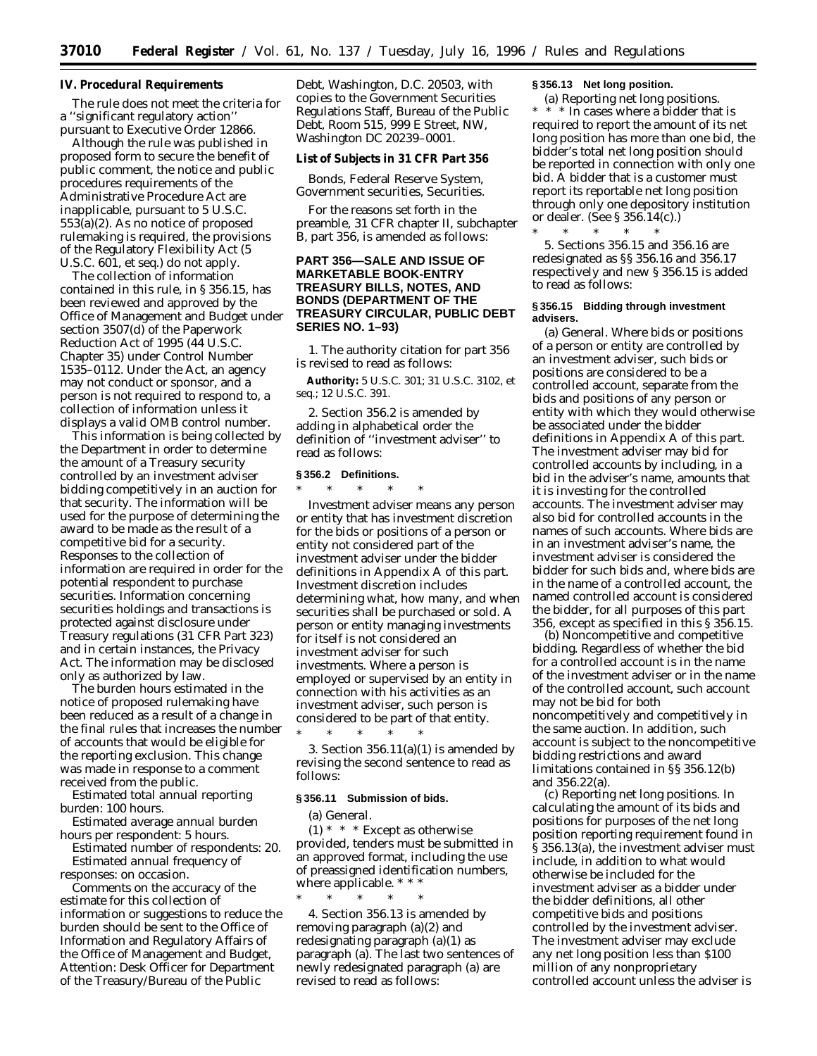## **IV. Procedural Requirements**

The rule does not meet the criteria for a ''significant regulatory action'' pursuant to Executive Order 12866.

Although the rule was published in proposed form to secure the benefit of public comment, the notice and public procedures requirements of the Administrative Procedure Act are inapplicable, pursuant to 5 U.S.C. 553(a)(2). As no notice of proposed rulemaking is required, the provisions of the Regulatory Flexibility Act (5 U.S.C. 601, *et seq*.) do not apply.

The collection of information contained in this rule, in § 356.15, has been reviewed and approved by the Office of Management and Budget under section 3507(d) of the Paperwork Reduction Act of 1995 (44 U.S.C. Chapter 35) under Control Number 1535–0112. Under the Act, an agency may not conduct or sponsor, and a person is not required to respond to, a collection of information unless it displays a valid OMB control number.

This information is being collected by the Department in order to determine the amount of a Treasury security controlled by an investment adviser bidding competitively in an auction for that security. The information will be used for the purpose of determining the award to be made as the result of a competitive bid for a security. Responses to the collection of information are required in order for the potential respondent to purchase securities. Information concerning securities holdings and transactions is protected against disclosure under Treasury regulations (31 CFR Part 323) and in certain instances, the Privacy Act. The information may be disclosed only as authorized by law.

The burden hours estimated in the notice of proposed rulemaking have been reduced as a result of a change in the final rules that increases the number of accounts that would be eligible for the reporting exclusion. This change was made in response to a comment received from the public.

*Estimated total annual reporting burden*: 100 hours.

*Estimated average annual burden hours per respondent*: 5 hours.

*Estimated number of respondents*: 20. *Estimated annual frequency of*

*responses*: on occasion. Comments on the accuracy of the estimate for this collection of information or suggestions to reduce the burden should be sent to the Office of Information and Regulatory Affairs of the Office of Management and Budget, Attention: Desk Officer for Department of the Treasury/Bureau of the Public

Debt, Washington, D.C. 20503, with copies to the Government Securities Regulations Staff, Bureau of the Public Debt, Room 515, 999 E Street, NW, Washington DC 20239–0001.

**List of Subjects in 31 CFR Part 356**

Bonds, Federal Reserve System, Government securities, Securities.

For the reasons set forth in the preamble, 31 CFR chapter II, subchapter B, part 356, is amended as follows:

# **PART 356—SALE AND ISSUE OF MARKETABLE BOOK-ENTRY TREASURY BILLS, NOTES, AND BONDS (DEPARTMENT OF THE TREASURY CIRCULAR, PUBLIC DEBT SERIES NO. 1–93)**

1. The authority citation for part 356 is revised to read as follows:

**Authority:** 5 U.S.C. 301; 31 U.S.C. 3102, *et seq*.; 12 U.S.C. 391.

2. Section 356.2 is amended by adding in alphabetical order the definition of ''investment adviser'' to read as follows:

## **§ 356.2 Definitions.**

\* \* \* \* \*

*Investment adviser* means any person or entity that has investment discretion for the bids or positions of a person or entity not considered part of the investment adviser under the bidder definitions in Appendix A of this part. Investment discretion includes determining what, how many, and when securities shall be purchased or sold. A person or entity managing investments for itself is not considered an investment adviser for such investments. Where a person is employed or supervised by an entity in connection with his activities as an investment adviser, such person is considered to be part of that entity. \* \* \* \* \*

3. Section  $356.11(a)(1)$  is amended by revising the second sentence to read as follows:

### **§ 356.11 Submission of bids.**

(a) *General.*

 $(1)$  \* \* \* Except as otherwise provided, tenders must be submitted in an approved format, including the use of preassigned identification numbers, where applicable. \* \* \*

\* \* \* \* \* 4. Section 356.13 is amended by removing paragraph (a)(2) and redesignating paragraph (a)(1) as paragraph (a). The last two sentences of newly redesignated paragraph (a) are revised to read as follows:

#### **§ 356.13 Net long position.**

(a) *Reporting net long positions.* \* In cases where a bidder that is required to report the amount of its net long position has more than one bid, the bidder's total net long position should be reported in connection with only one bid. A bidder that is a customer must report its reportable net long position through only one depository institution or dealer. (See § 356.14(c).)

\* \* \* \* \* 5. Sections 356.15 and 356.16 are redesignated as §§ 356.16 and 356.17 respectively and new § 356.15 is added to read as follows:

### **§ 356.15 Bidding through investment advisers.**

(a) *General.* Where bids or positions of a person or entity are controlled by an investment adviser, such bids or positions are considered to be a controlled account, separate from the bids and positions of any person or entity with which they would otherwise be associated under the bidder definitions in Appendix A of this part. The investment adviser may bid for controlled accounts by including, in a bid in the adviser's name, amounts that it is investing for the controlled accounts. The investment adviser may also bid for controlled accounts in the names of such accounts. Where bids are in an investment adviser's name, the investment adviser is considered the bidder for such bids and, where bids are in the name of a controlled account, the named controlled account is considered the bidder, for all purposes of this part 356, except as specified in this § 356.15.

(b) *Noncompetitive and competitive bidding.* Regardless of whether the bid for a controlled account is in the name of the investment adviser or in the name of the controlled account, such account may not be bid for both noncompetitively and competitively in the same auction. In addition, such account is subject to the noncompetitive bidding restrictions and award limitations contained in §§ 356.12(b) and 356.22(a).

(c) *Reporting net long positions.* In calculating the amount of its bids and positions for purposes of the net long position reporting requirement found in § 356.13(a), the investment adviser must include, in addition to what would otherwise be included for the investment adviser as a bidder under the bidder definitions, all other competitive bids and positions controlled by the investment adviser. The investment adviser may exclude any net long position less than \$100 million of any nonproprietary controlled account unless the adviser is